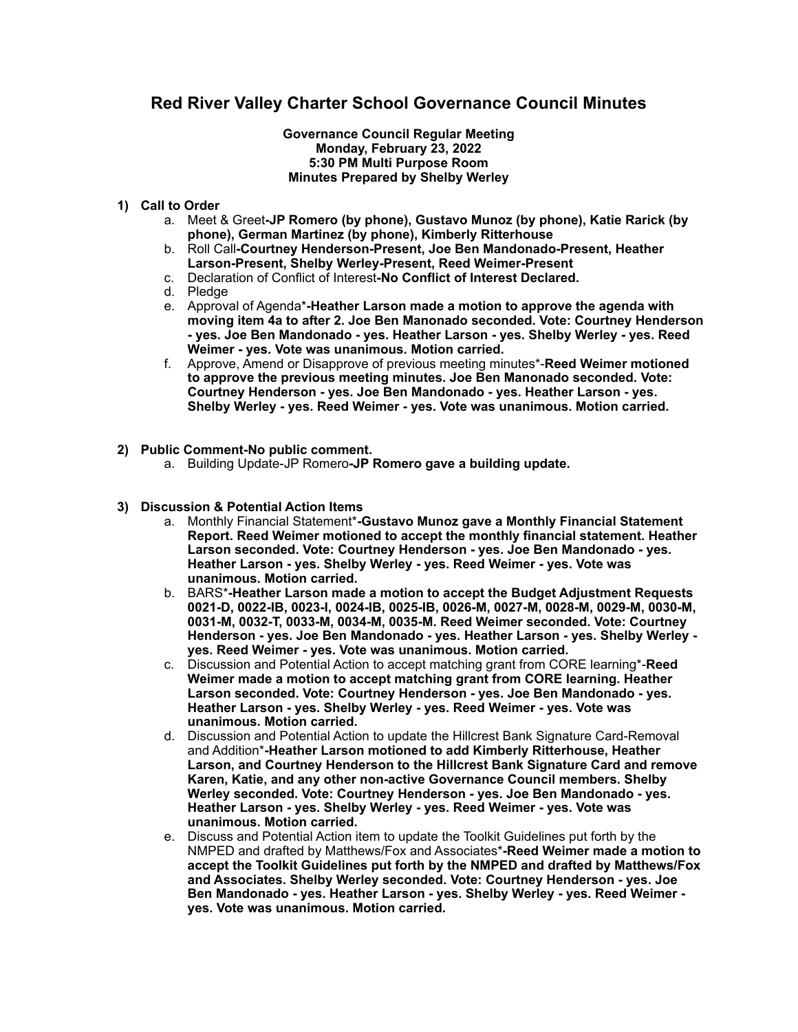# **Red River Valley Charter School Governance Council Minutes**

#### **Governance Council Regular Meeting Monday, February 23, 2022 5:30 PM Multi Purpose Room Minutes Prepared by Shelby Werley**

#### **1) Call to Order**

- a. Meet & Greet**-JP Romero (by phone), Gustavo Munoz (by phone), Katie Rarick (by phone), German Martinez (by phone), Kimberly Ritterhouse**
- b. Roll Call**-Courtney Henderson-Present, Joe Ben Mandonado-Present, Heather Larson-Present, Shelby Werley-Present, Reed Weimer-Present**
- c. Declaration of Conflict of Interest**-No Conflict of Interest Declared.**
- d. Pledge
- e. Approval of Agenda\***-Heather Larson made a motion to approve the agenda with moving item 4a to after 2. Joe Ben Manonado seconded. Vote: Courtney Henderson - yes. Joe Ben Mandonado - yes. Heather Larson - yes. Shelby Werley - yes. Reed Weimer - yes. Vote was unanimous. Motion carried.**
- f. Approve, Amend or Disapprove of previous meeting minutes\*-**Reed Weimer motioned to approve the previous meeting minutes. Joe Ben Manonado seconded. Vote: Courtney Henderson - yes. Joe Ben Mandonado - yes. Heather Larson - yes. Shelby Werley - yes. Reed Weimer - yes. Vote was unanimous. Motion carried.**
- **2) Public Comment-No public comment.** 
	- a. Building Update-JP Romero**-JP Romero gave a building update.**

## **3) Discussion & Potential Action Items**

- a. Monthly Financial Statement\***-Gustavo Munoz gave a Monthly Financial Statement Report. Reed Weimer motioned to accept the monthly financial statement. Heather Larson seconded. Vote: Courtney Henderson - yes. Joe Ben Mandonado - yes. Heather Larson - yes. Shelby Werley - yes. Reed Weimer - yes. Vote was unanimous. Motion carried.**
- b. BARS\***-Heather Larson made a motion to accept the Budget Adjustment Requests 0021-D, 0022-IB, 0023-I, 0024-IB, 0025-IB, 0026-M, 0027-M, 0028-M, 0029-M, 0030-M, 0031-M, 0032-T, 0033-M, 0034-M, 0035-M. Reed Weimer seconded. Vote: Courtney Henderson - yes. Joe Ben Mandonado - yes. Heather Larson - yes. Shelby Werley yes. Reed Weimer - yes. Vote was unanimous. Motion carried.**
- c. Discussion and Potential Action to accept matching grant from CORE learning\*-**Reed Weimer made a motion to accept matching grant from CORE learning. Heather Larson seconded. Vote: Courtney Henderson - yes. Joe Ben Mandonado - yes. Heather Larson - yes. Shelby Werley - yes. Reed Weimer - yes. Vote was unanimous. Motion carried.**
- d. Discussion and Potential Action to update the Hillcrest Bank Signature Card-Removal and Addition\***-Heather Larson motioned to add Kimberly Ritterhouse, Heather Larson, and Courtney Henderson to the Hillcrest Bank Signature Card and remove Karen, Katie, and any other non-active Governance Council members. Shelby Werley seconded. Vote: Courtney Henderson - yes. Joe Ben Mandonado - yes. Heather Larson - yes. Shelby Werley - yes. Reed Weimer - yes. Vote was unanimous. Motion carried.**
- e. Discuss and Potential Action item to update the Toolkit Guidelines put forth by the NMPED and drafted by Matthews/Fox and Associates\***-Reed Weimer made a motion to accept the Toolkit Guidelines put forth by the NMPED and drafted by Matthews/Fox and Associates. Shelby Werley seconded. Vote: Courtney Henderson - yes. Joe Ben Mandonado - yes. Heather Larson - yes. Shelby Werley - yes. Reed Weimer yes. Vote was unanimous. Motion carried.**